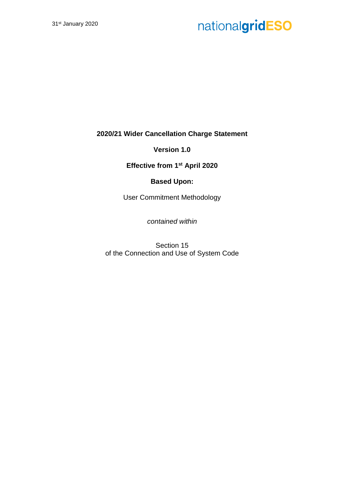**2020/21 Wider Cancellation Charge Statement**

**Version 1.0**

**Effective from 1st April 2020**

### **Based Upon:**

User Commitment Methodology

*contained within*

Section 15 of the Connection and Use of System Code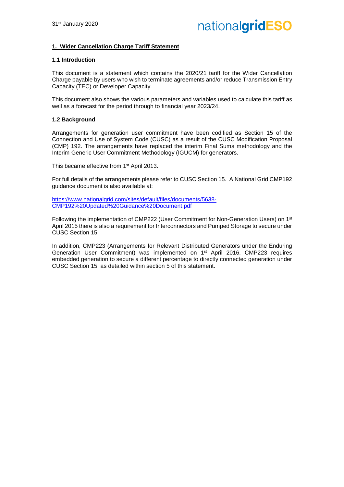#### **1. Wider Cancellation Charge Tariff Statement**

#### **1.1 Introduction**

This document is a statement which contains the 2020/21 tariff for the Wider Cancellation Charge payable by users who wish to terminate agreements and/or reduce Transmission Entry Capacity (TEC) or Developer Capacity.

This document also shows the various parameters and variables used to calculate this tariff as well as a forecast for the period through to financial year 2023/24.

#### **1.2 Background**

Arrangements for generation user commitment have been codified as Section 15 of the Connection and Use of System Code (CUSC) as a result of the CUSC Modification Proposal (CMP) 192. The arrangements have replaced the interim Final Sums methodology and the Interim Generic User Commitment Methodology (IGUCM) for generators.

This became effective from 1<sup>st</sup> April 2013.

For full details of the arrangements please refer to CUSC Section 15. A National Grid CMP192 guidance document is also available at:

https://www.nationalgrid.com/sites/default/files/documents/5638- CMP192%20Updated%20Guidance%20Document.pdf

Following the implementation of CMP222 (User Commitment for Non-Generation Users) on 1st April 2015 there is also a requirement for Interconnectors and Pumped Storage to secure under CUSC Section 15.

In addition, CMP223 (Arrangements for Relevant Distributed Generators under the Enduring Generation User Commitment) was implemented on 1st April 2016. CMP223 requires embedded generation to secure a different percentage to directly connected generation under CUSC Section 15, as detailed within section 5 of this statement.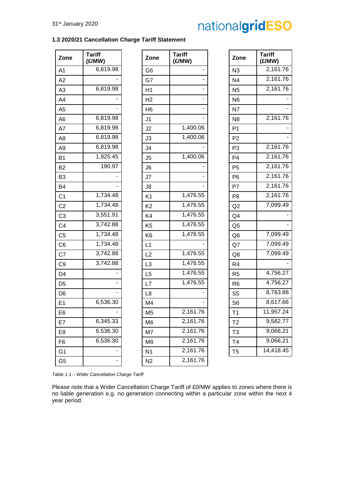#### **1.3 2020/21 Cancellation Charge Tariff Statement**

| Zone           | <b>Tariff</b><br>(£/MW) | Zone           | <b>Tariff</b><br>(£/MW) | Zone           | <b>Tariff</b><br>(£/MW) |
|----------------|-------------------------|----------------|-------------------------|----------------|-------------------------|
| A1             | 6,819.98                | G <sub>6</sub> |                         | N <sub>3</sub> | 2,161.76                |
| A2             |                         | G7             |                         | N <sub>4</sub> | 2,161.76                |
| A <sub>3</sub> | 6,819.98                | H1             |                         | N <sub>5</sub> | 2,161.76                |
| A4             |                         | H <sub>2</sub> |                         | N <sub>6</sub> |                         |
| A <sub>5</sub> |                         | H <sub>6</sub> |                         | N7             |                         |
| A <sub>6</sub> | 6,819.98                | J <sub>1</sub> |                         | N <sub>8</sub> | 2,161.76                |
| A7             | 6,819.98                | J2             | 1,400.06                | P <sub>1</sub> |                         |
| A <sub>8</sub> | 6,819.98                | J3             | 1,400.06                | P <sub>2</sub> |                         |
| A9             | 6,819.98                | J <sub>4</sub> |                         | P <sub>3</sub> | 2,161.76                |
| <b>B1</b>      | 1,925.45                | J <sub>5</sub> | 1,400.06                | P <sub>4</sub> | 2,161.76                |
| <b>B2</b>      | 190.97                  | J6             |                         | P <sub>5</sub> | 2,161.76                |
| B <sub>3</sub> |                         | J7             |                         | P <sub>6</sub> | 2,161.76                |
| <b>B4</b>      |                         | J8             |                         | P7             | 2,161.76                |
| C <sub>1</sub> | 1,734.48                | K <sub>1</sub> | 1,476.55                | P <sub>8</sub> | 2,161.76                |
| C <sub>2</sub> | 1,734.48                | K <sub>2</sub> | 1,476.55                | Q2             | 7,099.49                |
| C <sub>3</sub> | 3,551.91                | K4             | 1,476.55                | Q <sub>4</sub> |                         |
| C <sub>4</sub> | 3,742.88                | K <sub>5</sub> | 1,476.55                | Q <sub>5</sub> |                         |
| C <sub>5</sub> | 1,734.48                | K <sub>6</sub> | 1,476.55                | Q <sub>6</sub> | 7,099.49                |
| C <sub>6</sub> | 1,734.48                | L1             |                         | Q7             | 7,099.49                |
| C7             | 3,742.88                | L2             | 1,476.55                | Q8             | 7,099.49                |
| C <sub>9</sub> | 3,742.88                | L <sub>3</sub> | 1,476.55                | R <sub>4</sub> |                         |
| D <sub>4</sub> |                         | L5             | 1,476.55                | R <sub>5</sub> | 4,756.27                |
| D <sub>5</sub> |                         | L7             | 1,476.55                | R <sub>6</sub> | 4,756.27                |
| D <sub>6</sub> |                         | L <sub>8</sub> |                         | S <sub>5</sub> | 8,783.88                |
| E1             | 6,536.30                | M4             |                         | S <sub>6</sub> | 8,617.66                |
| E <sub>6</sub> |                         | M <sub>5</sub> | 2,161.76                | T1             | 11,957.24               |
| E7             | 6,345.33                | M <sub>6</sub> | 2,161.76                | T <sub>2</sub> | 9,582.77                |
| E8             | 6,536.30                | M7             | 2,161.76                | T <sub>3</sub> | 9,066.21                |
| F <sub>6</sub> | 6,536.30                | M <sub>8</sub> | 2,161.76                | T4             | 9,066.21                |
| G <sub>1</sub> |                         | N <sub>1</sub> | 2,161.76                | T <sub>5</sub> | 14,418.45               |
| G <sub>5</sub> |                         | N <sub>2</sub> | 2,161.76                |                |                         |

| Tariff<br>(£/MW) | Zone           | Tariff<br>(£/MW)      |
|------------------|----------------|-----------------------|
| 6,819.98         | G6             |                       |
|                  | G7             |                       |
| 6,819.98         | H1             |                       |
|                  | H <sub>2</sub> |                       |
|                  | H <sub>6</sub> |                       |
| 6,819.98         | J1             |                       |
| 6,819.98         | J <sub>2</sub> | $\overline{1,}400.06$ |
| 6,819.98         | J3             | 1,400.06              |
| 6,819.98         | J4             |                       |
| 1,925.45         | J <sub>5</sub> | 1,400.06              |
| 190.97           | J6             |                       |
|                  | J7             |                       |
|                  | J8             |                       |
| 1,734.48         | K <sub>1</sub> | 1,476.55              |
| 1,734.48         | K <sub>2</sub> | 1,476.55              |
| 3,551.91         | K4             | 1,476.55              |
| 3,742.88         | K <sub>5</sub> | 1,476.55              |
| 1,734.48         | K <sub>6</sub> | 1,476.55              |
| 1,734.48         | L1             |                       |
| 3,742.88         | L2             | 1,476.55              |
| 3,742.88         | L <sub>3</sub> | 1,476.55              |
|                  | L <sub>5</sub> | 1,476.55              |
|                  | L7             | 1,476.55              |
|                  | L8             |                       |
| 6,536.30         | M <sub>4</sub> |                       |
|                  | M <sub>5</sub> | 2,161.76              |
| 6,345.33         | M <sub>6</sub> | 2,161.76              |
| 6,536.30         | M7             | 2,161.76              |
| 6,536.30         | M8             | 2,161.76              |
|                  | N1             | 2,161.76              |
|                  | N <sub>2</sub> | 2,161.76              |

| <b>Tariff</b><br>(£/MW) | Zone           | <b>Tariff</b><br>(£/MW) |
|-------------------------|----------------|-------------------------|
|                         | N <sub>3</sub> | 2,161.76                |
|                         | N <sub>4</sub> | 2,161.76                |
|                         | N <sub>5</sub> | 2,161.76                |
|                         | N <sub>6</sub> |                         |
|                         | N7             |                         |
|                         | N <sub>8</sub> | 2,161.76                |
| 1,400.06                | P1             |                         |
| 1,400.06                | P <sub>2</sub> |                         |
|                         | P3             | 2,161.76                |
| 1,400.06                | P4             | 2,161.76                |
|                         | P <sub>5</sub> | 2,161.76                |
|                         | P6             | 2,161.76                |
|                         | P7             | 2,161.76                |
| $\overline{1,}476.55$   | P <sub>8</sub> | 2,161.76                |
| 1,476.55                | Q <sub>2</sub> | 7,099.49                |
| 1,476.55                | Q <sub>4</sub> |                         |
| 1,476.55                | Q <sub>5</sub> |                         |
| 1,476.55                | Q6             | 7,099.49                |
|                         | Q7             | 7,099.49                |
| 1,476.55                | Q8             | 7,099.49                |
| 1,476.55                | R <sub>4</sub> |                         |
| 1,476.55                | R5             | 4,756.27                |
| 1,476.55                | R <sub>6</sub> | 4,756.27                |
|                         | S <sub>5</sub> | 8,783.88                |
|                         | S <sub>6</sub> | 8,617.66                |
| 2,161.76                | T1             | 11,957.24               |
| 2,161.76                | T2             | 9,582.77                |
| 2,161.76                | T3             | 9,066.21                |
| 2,161.76                | T4             | 9,066.21                |
| 2,161.76                | T5             | 14,418.45               |

*Table 1.1 – Wider Cancellation Charge Tariff*

Please note that a Wider Cancellation Charge Tariff of £0/MW applies to zones where there is no liable generation e.g. no generation connecting within a particular zone within the next 4 year period.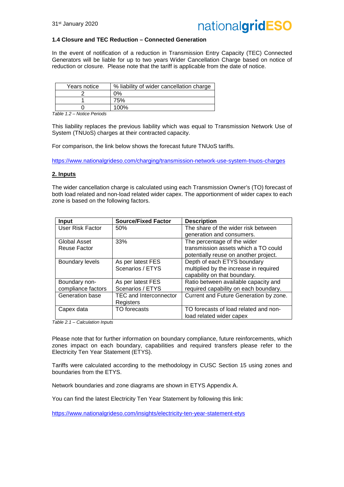

#### **1.4 Closure and TEC Reduction – Connected Generation**

In the event of notification of a reduction in Transmission Entry Capacity (TEC) Connected Generators will be liable for up to two years Wider Cancellation Charge based on notice of reduction or closure. Please note that the tariff is applicable from the date of notice.

| Years notice | % liability of wider cancellation charge |
|--------------|------------------------------------------|
|              | ገ%                                       |
|              | 75%                                      |
|              | 100%                                     |

*Table 1.2 – Notice Periods*

This liability replaces the previous liability which was equal to Transmission Network Use of System (TNUoS) charges at their contracted capacity.

For comparison, the link below shows the forecast future TNUoS tariffs.

https://www.nationalgrideso.com/charging/transmission-network-use-system-tnuos-charges

#### **2. Inputs**

The wider cancellation charge is calculated using each Transmission Owner's (TO) forecast of both load related and non-load related wider capex. The apportionment of wider capex to each zone is based on the following factors.

| <b>Input</b>           | <b>Source/Fixed Factor</b>    | <b>Description</b>                     |
|------------------------|-------------------------------|----------------------------------------|
| User Risk Factor       | 50%                           | The share of the wider risk between    |
|                        |                               | generation and consumers.              |
| Global Asset           | 33%                           | The percentage of the wider            |
| Reuse Factor           |                               | transmission assets which a TO could   |
|                        |                               | potentially reuse on another project.  |
| <b>Boundary levels</b> | As per latest FES             | Depth of each ETYS boundary            |
|                        | Scenarios / ETYS              | multiplied by the increase in required |
|                        |                               | capability on that boundary.           |
| Boundary non-          | As per latest FES             | Ratio between available capacity and   |
| compliance factors     | Scenarios / ETYS              | required capability on each boundary.  |
| Generation base        | <b>TEC and Interconnector</b> | Current and Future Generation by zone. |
|                        | Registers                     |                                        |
| Capex data             | TO forecasts                  | TO forecasts of load related and non-  |
|                        |                               | load related wider capex               |

*Table 2.1 – Calculation Inputs*

Please note that for further information on boundary compliance, future reinforcements, which zones impact on each boundary, capabilities and required transfers please refer to the Electricity Ten Year Statement (ETYS).

Tariffs were calculated according to the methodology in CUSC Section 15 using zones and boundaries from the ETYS.

Network boundaries and zone diagrams are shown in ETYS Appendix A.

You can find the latest Electricity Ten Year Statement by following this link:

https://www.nationalgrideso.com/insights/electricity-ten-year-statement-etys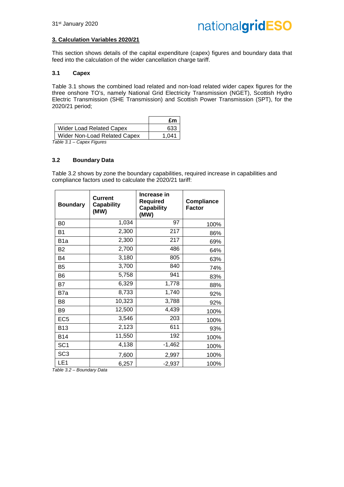#### **3. Calculation Variables 2020/21**

This section shows details of the capital expenditure (capex) figures and boundary data that feed into the calculation of the wider cancellation charge tariff.

#### **3.1 Capex**

Table 3.1 shows the combined load related and non-load related wider capex figures for the three onshore TO's, namely National Grid Electricity Transmission (NGET), Scottish Hydro Electric Transmission (SHE Transmission) and Scottish Power Transmission (SPT), for the 2020/21 period;

|                                 | £m    |
|---------------------------------|-------|
| <b>Wider Load Related Capex</b> | 633   |
| Wider Non-Load Related Capex    | 1 041 |
| $T - L L - T$<br>A F'           |       |

*Table 3.1 – Capex Figures*

#### **3.2 Boundary Data**

Table 3.2 shows by zone the boundary capabilities, required increase in capabilities and compliance factors used to calculate the 2020/21 tariff:

| <b>Boundary</b>  | <b>Current</b><br><b>Capability</b><br>(MW) | Increase in<br><b>Required</b><br><b>Capability</b><br>(MW) | <b>Compliance</b><br><b>Factor</b> |
|------------------|---------------------------------------------|-------------------------------------------------------------|------------------------------------|
| B <sub>0</sub>   | 1,034                                       | 97                                                          | 100%                               |
| <b>B1</b>        | 2,300                                       | 217                                                         | 86%                                |
| B <sub>1</sub> a | 2,300                                       | 217                                                         | 69%                                |
| <b>B2</b>        | 2,700                                       | 486                                                         | 64%                                |
| B4               | 3,180                                       | 805                                                         | 63%                                |
| B <sub>5</sub>   | 3,700                                       | 840                                                         | 74%                                |
| B <sub>6</sub>   | 5,758                                       | 941                                                         | 83%                                |
| B7               | 6,329                                       | 1,778                                                       | 88%                                |
| B7a              | 8,733                                       | 1,740                                                       | 92%                                |
| B <sub>8</sub>   | 10,323                                      | 3,788                                                       | 92%                                |
| B <sub>9</sub>   | 12,500                                      | 4,439                                                       | 100%                               |
| EC <sub>5</sub>  | 3,546                                       | 203                                                         | 100%                               |
| <b>B13</b>       | 2,123                                       | 611                                                         | 93%                                |
| <b>B14</b>       | 11,550                                      | 192                                                         | 100%                               |
| SC <sub>1</sub>  | 4,138                                       | $-1,462$                                                    | 100%                               |
| SC <sub>3</sub>  | 7,600                                       | 2,997                                                       | 100%                               |
| LE <sub>1</sub>  | 6,257                                       | $-2,937$                                                    | 100%                               |

*Table 3.2 – Boundary Data*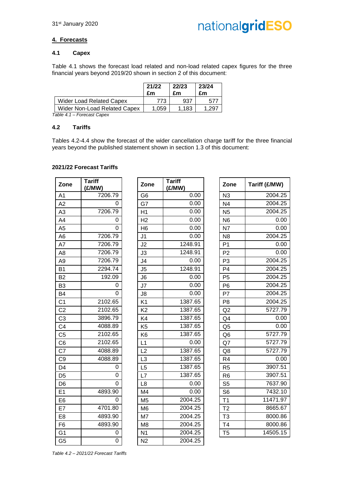#### **4. Forecasts**

#### **4.1 Capex**

Table 4.1 shows the forecast load related and non-load related capex figures for the three financial years beyond 2019/20 shown in section 2 of this document:

|                                 | 21/22<br>£m | 22/23<br>£m | 23/24<br>£m |
|---------------------------------|-------------|-------------|-------------|
| <b>Wider Load Related Capex</b> | 773         | 937         | 57          |
| Wider Non-Load Related Capex    | 1,059       | 1.183       | - 297       |

*Table 4.1 – Forecast Capex*

#### **4.2 Tariffs**

Tables 4.2-4.4 show the forecast of the wider cancellation charge tariff for the three financial years beyond the published statement shown in section 1.3 of this document:

#### **2021/22 Forecast Tariffs**

| Zone           | <b>Tariff</b><br>(£/MW) |
|----------------|-------------------------|
| A <sub>1</sub> | 7206.79                 |
| A2             | 0                       |
| A3             | 7206.79                 |
| A4             | 0                       |
| A <sub>5</sub> | 0                       |
| A6             | 7206.79                 |
| A7             | 7206.79                 |
| A8             | 7206.79                 |
| A <sub>9</sub> | 7206.79                 |
| <b>B1</b>      | 2294.74                 |
| B <sub>2</sub> | 192.09                  |
| B <sub>3</sub> | 0                       |
| B4             | 0                       |
| C <sub>1</sub> | 2102.65                 |
| C <sub>2</sub> | 2102.65                 |
| C <sub>3</sub> | 3896.79                 |
| C4             | 4088.89                 |
| C <sub>5</sub> | 2102.65                 |
| C <sub>6</sub> | 2102.65                 |
| C7             | 4088.89                 |
| C <sub>9</sub> | 4088.89                 |
| D4             | 0                       |
| D <sub>5</sub> | 0                       |
| D6             | 0                       |
| E1             | 4893.90                 |
| E6             | 0                       |
| E7             | 4701.80                 |
| E8             | 4893.90                 |
| F6             | 4893.90                 |
| G1             | 0                       |
| G <sub>5</sub> | O                       |

| Zone           | <b>Tariff</b><br>(E/MW) | Zone           | <b>Tariff</b><br>(E/MW) | Zone           | Tariff (£/MW) |
|----------------|-------------------------|----------------|-------------------------|----------------|---------------|
| A1             | 7206.79                 | G <sub>6</sub> | 0.00                    | N3             | 2004.25       |
| A2             | 0                       | G7             | 0.00                    | N <sub>4</sub> | 2004.25       |
| A3             | 7206.79                 | H1             | 0.00                    | <b>N5</b>      | 2004.25       |
| A4             | $\mathbf 0$             | H <sub>2</sub> | 0.00                    | N <sub>6</sub> | 0.00          |
| A5             | 0                       | H <sub>6</sub> | 0.00                    | N7             | 0.00          |
| A6             | 7206.79                 | J <sub>1</sub> | 0.00                    | N <sub>8</sub> | 2004.25       |
| A7             | 7206.79                 | J2             | 1248.91                 | P <sub>1</sub> | 0.00          |
| A8             | 7206.79                 | J3             | 1248.91                 | P <sub>2</sub> | 0.00          |
| A9             | 7206.79                 | J4             | 0.00                    | P <sub>3</sub> | 2004.25       |
| <b>B1</b>      | 2294.74                 | J5             | 1248.91                 | P <sub>4</sub> | 2004.25       |
| B <sub>2</sub> | 192.09                  | J <sub>6</sub> | 0.00                    | P <sub>5</sub> | 2004.25       |
| B3             | 0                       | J7             | 0.00                    | P <sub>6</sub> | 2004.25       |
| B4             | 0                       | J8             | 0.00                    | P7             | 2004.25       |
| C <sub>1</sub> | 2102.65                 | K <sub>1</sub> | 1387.65                 | P <sub>8</sub> | 2004.25       |
| C <sub>2</sub> | 2102.65                 | K <sub>2</sub> | 1387.65                 | Q2             | 5727.79       |
| C <sub>3</sub> | 3896.79                 | K4             | 1387.65                 | Q4             | 0.00          |
| C4             | 4088.89                 | K <sub>5</sub> | 1387.65                 | Q <sub>5</sub> | 0.00          |
| C5             | 2102.65                 | K <sub>6</sub> | 1387.65                 | Q <sub>6</sub> | 5727.79       |
| C6             | 2102.65                 | L1             | 0.00                    | Q7             | 5727.79       |
| C7             | 4088.89                 | L2             | 1387.65                 | Q8             | 5727.79       |
| C9             | 4088.89                 | L <sub>3</sub> | 1387.65                 | R <sub>4</sub> | 0.00          |
| D4             | 0                       | L <sub>5</sub> | 1387.65                 | R <sub>5</sub> | 3907.51       |
| D <sub>5</sub> | $\Omega$                | L7             | 1387.65                 | R <sub>6</sub> | 3907.51       |
| D6             | $\Omega$                | L <sub>8</sub> | 0.00                    | S <sub>5</sub> | 7637.90       |
| E1             | 4893.90                 | M4             | 0.00                    | S <sub>6</sub> | 7432.10       |
| E6             | 0                       | M <sub>5</sub> | 2004.25                 | T <sub>1</sub> | 11471.97      |
| E7             | 4701.80                 | M <sub>6</sub> | 2004.25                 | T <sub>2</sub> | 8665.67       |
| E8             | 4893.90                 | M7             | 2004.25                 | T <sub>3</sub> | 8000.86       |
| F <sub>6</sub> | 4893.90                 | M <sub>8</sub> | 2004.25                 | T <sub>4</sub> | 8000.86       |
| G1             | 0                       | N <sub>1</sub> | 2004.25                 | T <sub>5</sub> | 14505.15      |
| G5             | 0                       | N <sub>2</sub> | 2004.25                 |                |               |

| <b>Tariff</b><br>(£/MW) | Zone           | Tariff (£/MW) |
|-------------------------|----------------|---------------|
| 0.00                    | N <sub>3</sub> | 2004.25       |
| 0.00                    | N <sub>4</sub> | 2004.25       |
| 0.00                    | N <sub>5</sub> | 2004.25       |
| 0.00                    | N <sub>6</sub> | 0.00          |
| 0.00                    | <b>N7</b>      | 0.00          |
| 0.00                    | N <sub>8</sub> | 2004.25       |
| 1248.91                 | P <sub>1</sub> | 0.00          |
| 1248.91                 | P <sub>2</sub> | 0.00          |
| 0.00                    | P <sub>3</sub> | 2004.25       |
| 1248.91                 | P <sub>4</sub> | 2004.25       |
| 0.00                    | P <sub>5</sub> | 2004.25       |
| 0.00                    | P <sub>6</sub> | 2004.25       |
| 0.00                    | P7             | 2004.25       |
| 1387.65                 | P <sub>8</sub> | 2004.25       |
| 1387.65                 | Q <sub>2</sub> | 5727.79       |
| 1387.65                 | Q4             | 0.00          |
| 1387.65                 | Q5             | 0.00          |
| 1387.65                 | Q <sub>6</sub> | 5727.79       |
| 0.00                    | Q7             | 5727.79       |
| 1387.65                 | Q8             | 5727.79       |
| 1387.65                 | R <sub>4</sub> | 0.00          |
| 1387.65                 | R <sub>5</sub> | 3907.51       |
| 1387.65                 | R <sub>6</sub> | 3907.51       |
| 0.00                    | S <sub>5</sub> | 7637.90       |
| 0.00                    | S <sub>6</sub> | 7432.10       |
| 2004.25                 | T1             | 11471.97      |
| 2004.25                 | T <sub>2</sub> | 8665.67       |
| 2004.25                 | T <sub>3</sub> | 8000.86       |
| 2004.25                 | T4             | 8000.86       |
| 2004.25                 | T <sub>5</sub> | 14505.15      |

*Table 4.2 – 2021/22 Forecast Tariffs*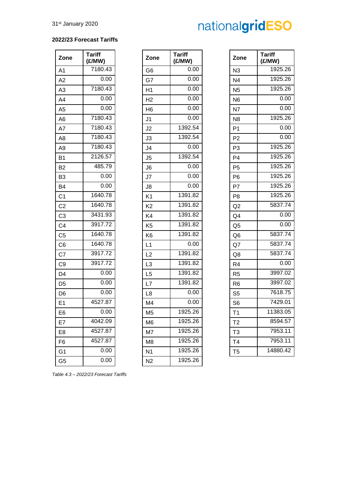#### **2022/23 Forecast Tariffs**

| Zone           | <b>Tariff</b><br>(£/MW) |
|----------------|-------------------------|
| A1             | 7180.43                 |
| A2             | 0.00                    |
| A3             | 7180.43                 |
| A4             | 0.00                    |
| A <sub>5</sub> | 0.00                    |
| A6             | 7180.43                 |
| A7             | 7180.43                 |
| A8             | 7180.43                 |
| A9             | 7180.43                 |
| B1             | 2126.57                 |
| B <sub>2</sub> | 485.79                  |
| B <sub>3</sub> | 0.00                    |
| B4             | 0.00                    |
| C <sub>1</sub> | 1640.78                 |
| C <sub>2</sub> | 1640.78                 |
| C <sub>3</sub> | 3431.93                 |
| C4             | 3917.72                 |
| C5             | 1640.78                 |
| C <sub>6</sub> | 1640.78                 |
| C7             | 3917.72                 |
| C <sub>9</sub> | 3917.72                 |
| D4             | 0.00                    |
| D <sub>5</sub> | 0.00                    |
| D <sub>6</sub> | 0.00                    |
| E <sub>1</sub> | 4527.87                 |
| E6             | 0.00                    |
| E7             | 4042.09                 |
| E8             | 4527.87                 |
| F6             | 4527.87                 |
| G1             | 0.00                    |
| G5             | 0.00                    |

| Zone           | <b>Tariff</b><br>(£/MW) | Zone           | <b>Tariff</b><br>(E/MW) | Zone           | <b>Tariff</b><br>(E/MW) |
|----------------|-------------------------|----------------|-------------------------|----------------|-------------------------|
| A1             | 7180.43                 | G <sub>6</sub> | 0.00                    | N3             | 1925.26                 |
| A2             | 0.00                    | G7             | 0.00                    | N <sub>4</sub> | 1925.26                 |
| A3             | 7180.43                 | H1             | 0.00                    | N <sub>5</sub> | 1925.26                 |
| A4             | 0.00                    | H <sub>2</sub> | 0.00                    | N <sub>6</sub> | 0.00                    |
| A5             | 0.00                    | H <sub>6</sub> | 0.00                    | N7             | 0.00                    |
| A6             | 7180.43                 | J <sub>1</sub> | 0.00                    | N <sub>8</sub> | 1925.26                 |
| A7             | 7180.43                 | J2             | 1392.54                 | P <sub>1</sub> | 0.00                    |
| A8             | 7180.43                 | J3             | 1392.54                 | P <sub>2</sub> | 0.00                    |
| A9             | 7180.43                 | J <sub>4</sub> | 0.00                    | P <sub>3</sub> | 1925.26                 |
| B1             | 2126.57                 | J <sub>5</sub> | 1392.54                 | P <sub>4</sub> | 1925.26                 |
| <b>B2</b>      | 485.79                  | J <sub>6</sub> | 0.00                    | P <sub>5</sub> | 1925.26                 |
| B3             | 0.00                    | J7             | 0.00                    | P <sub>6</sub> | 1925.26                 |
| B4             | 0.00                    | J8             | 0.00                    | P7             | 1925.26                 |
| C1             | 1640.78                 | K <sub>1</sub> | 1391.82                 | P <sub>8</sub> | 1925.26                 |
| C <sub>2</sub> | 1640.78                 | K <sub>2</sub> | 1391.82                 | Q2             | 5837.74                 |
| C <sub>3</sub> | 3431.93                 | K4             | 1391.82                 | Q <sub>4</sub> | 0.00                    |
| C4             | 3917.72                 | K <sub>5</sub> | 1391.82                 | Q <sub>5</sub> | 0.00                    |
| C5             | 1640.78                 | K <sub>6</sub> | 1391.82                 | Q <sub>6</sub> | 5837.74                 |
| C6             | 1640.78                 | L1             | 0.00                    | Q7             | 5837.74                 |
| C7             | 3917.72                 | L2             | 1391.82                 | Q8             | 5837.74                 |
| C9             | 3917.72                 | L <sub>3</sub> | 1391.82                 | R <sub>4</sub> | 0.00                    |
| D4             | 0.00                    | L <sub>5</sub> | 1391.82                 | R <sub>5</sub> | 3997.02                 |
| D5             | 0.00                    | L7             | 1391.82                 | R <sub>6</sub> | 3997.02                 |
| D6             | 0.00                    | L <sub>8</sub> | 0.00                    | S <sub>5</sub> | 7618.75                 |
| E1             | 4527.87                 | M4             | 0.00                    | S <sub>6</sub> | 7429.01                 |
| E6             | 0.00                    | M <sub>5</sub> | 1925.26                 | T <sub>1</sub> | 11383.05                |
| E7             | 4042.09                 | M <sub>6</sub> | 1925.26                 | T <sub>2</sub> | 8594.57                 |
| E8             | 4527.87                 | M7             | 1925.26                 | T3             | 7953.11                 |
| F6             | 4527.87                 | M <sub>8</sub> | 1925.26                 | T <sub>4</sub> | 7953.11                 |
| G1             | $0.00\,$                | N <sub>1</sub> | 1925.26                 | T5             | 14880.42                |
| G5             | 0.00                    | N <sub>2</sub> | 1925.26                 |                |                         |
|                |                         |                |                         |                |                         |

| <b>Tariff</b> |                | Tariff   |
|---------------|----------------|----------|
| (£/MW)        | Zone           | (£/MW)   |
| 0.00          | N <sub>3</sub> | 1925.26  |
| 0.00          | N4             | 1925.26  |
| 0.00          | N <sub>5</sub> | 1925.26  |
| 0.00          | N <sub>6</sub> | 0.00     |
| 0.00          | N7             | 0.00     |
| 0.00          | N8             | 1925.26  |
| 1392.54       | P <sub>1</sub> | 0.00     |
| 1392.54       | P2             | 0.00     |
| 0.00          | P3             | 1925.26  |
| 1392.54       | P4             | 1925.26  |
| 0.00          | P <sub>5</sub> | 1925.26  |
| 0.00          | P <sub>6</sub> | 1925.26  |
| 0.00          | P7             | 1925.26  |
| 1391.82       | P <sub>8</sub> | 1925.26  |
| 1391.82       | Q2             | 5837.74  |
| 1391.82       | Q4             | 0.00     |
| 1391.82       | Q5             | 0.00     |
| 1391.82       | Q6             | 5837.74  |
| 0.00          | Q7             | 5837.74  |
| 1391.82       | Q8             | 5837.74  |
| 1391.82       | R4             | 0.00     |
| 1391.82       | R5             | 3997.02  |
| 1391.82       | R6             | 3997.02  |
| 0.00          | S <sub>5</sub> | 7618.75  |
| 0.00          | S6             | 7429.01  |
| 1925.26       | T1             | 11383.05 |
| 1925.26       | Τ2             | 8594.57  |
| 1925.26       | T3             | 7953.11  |
| 1925.26       | Τ4             | 7953.11  |
| 1925.26       | T5             | 14880.42 |

*Table 4.3 – 2022/23 Forecast Tariffs*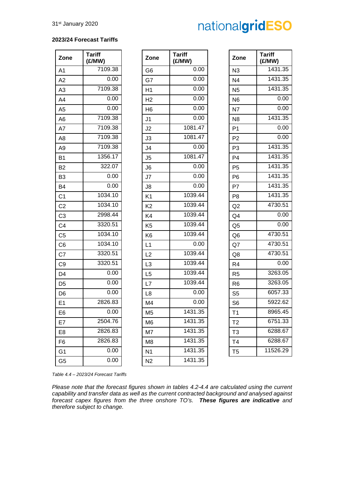#### **2023/24 Forecast Tariffs**

| Zone           | <b>Tariff</b><br>(£/MW) | Zone           | <b>Tariff</b><br>(£/MW) |
|----------------|-------------------------|----------------|-------------------------|
| A <sub>1</sub> | 7109.38                 | G6             | 0.00                    |
| A2             | 0.00                    | G7             | 0.00                    |
| A <sub>3</sub> | 7109.38                 | H1             | 0.00                    |
| A4             | 0.00                    | H <sub>2</sub> | 0.00                    |
| A <sub>5</sub> | 0.00                    | H <sub>6</sub> | 0.00                    |
| A <sub>6</sub> | 7109.38                 | J <sub>1</sub> | 0.00                    |
| A7             | 7109.38                 | J2             | 1081.47                 |
| A <sub>8</sub> | 7109.38                 | J3             | 1081.47                 |
| A <sub>9</sub> | 7109.38                 | J4             | 0.00                    |
| <b>B1</b>      | 1356.17                 | J5             | 1081.47                 |
| B <sub>2</sub> | 322.07                  | J <sub>6</sub> | 0.00                    |
| B <sub>3</sub> | 0.00                    | J7             | 0.00                    |
| <b>B4</b>      | 0.00                    | J8             | 0.00                    |
| C <sub>1</sub> | 1034.10                 | K <sub>1</sub> | 1039.44                 |
| C <sub>2</sub> | 1034.10                 | K <sub>2</sub> | 1039.44                 |
| C <sub>3</sub> | 2998.44                 | K4             | 1039.44                 |
| C <sub>4</sub> | 3320.51                 | K <sub>5</sub> | 1039.44                 |
| C <sub>5</sub> | 1034.10                 | K <sub>6</sub> | 1039.44                 |
| C <sub>6</sub> | 1034.10                 | L1             | 0.00                    |
| C7             | 3320.51                 | L2             | 1039.44                 |
| C <sub>9</sub> | 3320.51                 | L <sub>3</sub> | 1039.44                 |
| D <sub>4</sub> | 0.00                    | L <sub>5</sub> | 1039.44                 |
| D <sub>5</sub> | 0.00                    | L7             | 1039.44                 |
| D <sub>6</sub> | 0.00                    | L <sub>8</sub> | 0.00                    |
| E <sub>1</sub> | 2826.83                 | M4             | 0.00                    |
| E <sub>6</sub> | 0.00                    | M <sub>5</sub> | 1431.35                 |
| E7             | 2504.76                 | M <sub>6</sub> | 1431.35                 |
| E <sub>8</sub> | 2826.83                 | M7             | 1431.35                 |
| F <sub>6</sub> | 2826.83                 | M <sub>8</sub> | 1431.35                 |
| G <sub>1</sub> | 0.00                    | N <sub>1</sub> | 1431.35                 |
| G <sub>5</sub> | 0.00                    | N <sub>2</sub> | 1431.35                 |

| Zone           | <b>Tariff</b><br>(£/MW) | Zone           | <b>Tariff</b><br>(£/MW) | Zone           | <b>Tariff</b><br>(E/MW) |
|----------------|-------------------------|----------------|-------------------------|----------------|-------------------------|
| A1             | 7109.38                 | G <sub>6</sub> | 0.00                    | N3             | 1431.35                 |
| A2             | 0.00                    | G7             | 0.00                    | N <sub>4</sub> | 1431.35                 |
| A3             | 7109.38                 | H1             | 0.00                    | N <sub>5</sub> | 1431.35                 |
| A4             | 0.00                    | H <sub>2</sub> | 0.00                    | N <sub>6</sub> | 0.00                    |
| A5             | 0.00                    | H <sub>6</sub> | 0.00                    | N7             | 0.00                    |
| A6             | 7109.38                 | J <sub>1</sub> | 0.00                    | N <sub>8</sub> | 1431.35                 |
| A7             | 7109.38                 | J2             | 1081.47                 | P <sub>1</sub> | 0.00                    |
| A8             | 7109.38                 | J3             | 1081.47                 | P <sub>2</sub> | 0.00                    |
| А9             | 7109.38                 | J4             | 0.00                    | P <sub>3</sub> | 1431.35                 |
| Β1             | 1356.17                 | J <sub>5</sub> | 1081.47                 | P <sub>4</sub> | 1431.35                 |
| B2             | 322.07                  | J <sub>6</sub> | 0.00                    | P <sub>5</sub> | 1431.35                 |
| B3             | 0.00                    | J7             | 0.00                    | P <sub>6</sub> | 1431.35                 |
| B4             | 0.00                    | J8             | 0.00                    | P7             | 1431.35                 |
| C <sub>1</sub> | 1034.10                 | K <sub>1</sub> | 1039.44                 | P <sub>8</sub> | 1431.35                 |
| C <sub>2</sub> | 1034.10                 | K <sub>2</sub> | 1039.44                 | Q2             | 4730.51                 |
| C3             | 2998.44                 | K4             | 1039.44                 | Q <sub>4</sub> | 0.00                    |
| C4             | 3320.51                 | K <sub>5</sub> | 1039.44                 | Q <sub>5</sub> | 0.00                    |
| C5             | 1034.10                 | K <sub>6</sub> | 1039.44                 | Q <sub>6</sub> | 4730.51                 |
| C6             | 1034.10                 | L1             | 0.00                    | Q7             | 4730.51                 |
| C7             | 3320.51                 | L2             | 1039.44                 | Q8             | 4730.51                 |
| C9             | 3320.51                 | L <sub>3</sub> | 1039.44                 | R <sub>4</sub> | 0.00                    |
| D4             | 0.00                    | L <sub>5</sub> | 1039.44                 | R <sub>5</sub> | 3263.05                 |
| D5             | 0.00                    | L7             | 1039.44                 | R <sub>6</sub> | 3263.05                 |
| D6             | 0.00                    | L <sub>8</sub> | 0.00                    | S <sub>5</sub> | 6057.33                 |
| E1             | 2826.83                 | M <sub>4</sub> | 0.00                    | S <sub>6</sub> | 5922.62                 |
| E6             | 0.00                    | M <sub>5</sub> | 1431.35                 | T <sub>1</sub> | 8965.45                 |
| E7             | 2504.76                 | M <sub>6</sub> | 1431.35                 | T <sub>2</sub> | 6751.33                 |
| E8             | 2826.83                 | M7             | 1431.35                 | T <sub>3</sub> | 6288.67                 |
| F6             | 2826.83                 | M <sub>8</sub> | 1431.35                 | T4             | 6288.67                 |
| G1             | 0.00                    | N <sub>1</sub> | 1431.35                 | T <sub>5</sub> | 11526.29                |
| G5             | 0.00                    | N <sub>2</sub> | 1431.35                 |                |                         |

| <b>Tariff</b><br>(£/MW) | Zone           | Tariff<br>(E/MW) |
|-------------------------|----------------|------------------|
| 0.00                    | N <sub>3</sub> | 1431.35          |
| 0.00                    | N4             | 1431.35          |
| 0.00                    | N <sub>5</sub> | 1431.35          |
| 0.00                    | N <sub>6</sub> | 0.00             |
| 0.00                    | N7             | 0.00             |
| 0.00                    | N <sub>8</sub> | 1431.35          |
| 1081.47                 | P <sub>1</sub> | 0.00             |
| 1081.47                 | P <sub>2</sub> | 0.00             |
| 0.00                    | P <sub>3</sub> | 1431.35          |
| 1081.47                 | P <sub>4</sub> | 1431.35          |
| 0.00                    | P <sub>5</sub> | 1431.35          |
| 0.00                    | P6             | 1431.35          |
| 0.00                    | P7             | 1431.35          |
| 1039.44                 | P8             | 1431.35          |
| 1039.44                 | Q2             | 4730.51          |
| 1039.44                 | Q4             | 0.00             |
| 1039.44                 | Q5             | 0.00             |
| 1039.44                 | Q6             | 4730.51          |
| 0.00                    | Q7             | 4730.51          |
| 1039.44                 | Q8             | 4730.51          |
| 1039.44                 | R <sub>4</sub> | 0.00             |
| 1039.44                 | R <sub>5</sub> | 3263.05          |
| 1039.44                 | R <sub>6</sub> | 3263.05          |
| 0.00                    | S5             | 6057.33          |
| 0.00                    | S <sub>6</sub> | 5922.62          |
| 1431.35                 | T1             | 8965.45          |
| 1431.35                 | T2             | 6751.33          |
| 1431.35                 | T3             | 6288.67          |
| 1431.35                 | Τ4             | 6288.67          |
| 1431.35                 | T <sub>5</sub> | 11526.29         |
|                         |                |                  |

*Table 4.4 – 2023/24 Forecast Tariffs*

*Please note that the forecast figures shown in tables 4.2-4.4 are calculated using the current capability and transfer data as well as the current contracted background and analysed against forecast capex figures from the three onshore TO's. These figures are indicative and therefore subject to change.*